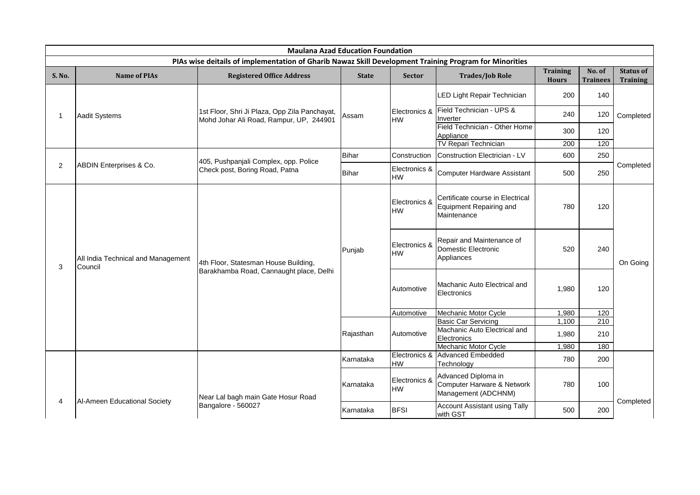|               | <b>Maulana Azad Education Foundation</b>      |                                                                                                        |              |                            |                                                                                   |                                 |                           |                                     |                     |                                                                |       |     |
|---------------|-----------------------------------------------|--------------------------------------------------------------------------------------------------------|--------------|----------------------------|-----------------------------------------------------------------------------------|---------------------------------|---------------------------|-------------------------------------|---------------------|----------------------------------------------------------------|-------|-----|
|               |                                               | PIAs wise deitails of implementation of Gharib Nawaz Skill Development Training Program for Minorities |              |                            |                                                                                   |                                 |                           |                                     |                     |                                                                |       |     |
| <b>S. No.</b> | <b>Name of PIAs</b>                           | <b>Registered Office Address</b>                                                                       | <b>State</b> | <b>Sector</b>              | <b>Trades/Job Role</b>                                                            | <b>Training</b><br><b>Hours</b> | No. of<br><b>Trainees</b> | <b>Status of</b><br><b>Training</b> |                     |                                                                |       |     |
|               |                                               |                                                                                                        |              |                            | LED Light Repair Technician                                                       | 200                             | 140                       | Completed<br>Completed              |                     |                                                                |       |     |
| 1             | Aadit Systems                                 | 1st Floor, Shri Ji Plaza, Opp Zila Panchayat,<br>Mohd Johar Ali Road, Rampur, UP, 244901               | Assam        | HW                         | Electronics & Field Technician - UPS &<br>Inverter                                | 240                             | 120                       |                                     |                     |                                                                |       |     |
|               |                                               |                                                                                                        |              |                            | Field Technician - Other Home<br>Appliance                                        | 300                             | 120                       |                                     |                     |                                                                |       |     |
|               |                                               |                                                                                                        |              |                            | TV Repari Technician                                                              | 200                             | 120                       |                                     |                     |                                                                |       |     |
|               |                                               |                                                                                                        | Bihar        | Construction               | Construction Electrician - LV                                                     | 600                             | 250                       |                                     |                     |                                                                |       |     |
| 2             | ABDIN Enterprises & Co.                       | 405, Pushpanjali Complex, opp. Police<br>Check post, Boring Road, Patna                                | Bihar        | Electronics &<br>HW        | Computer Hardware Assistant                                                       | 500                             | 250                       |                                     |                     |                                                                |       |     |
| 3             |                                               |                                                                                                        |              | Electronics &<br>HW        | Certificate course in Electrical<br><b>Equipment Repairing and</b><br>Maintenance | 780                             | 120                       |                                     |                     |                                                                |       |     |
|               | All India Technical and Management<br>Council | 4th Floor, Statesman House Building,<br>Barakhamba Road, Cannaught place, Delhi                        |              |                            |                                                                                   |                                 | Punjab                    |                                     | Electronics &<br>HW | Repair and Maintenance of<br>Domestic Electronic<br>Appliances | 520   | 240 |
|               |                                               |                                                                                                        |              |                            |                                                                                   |                                 |                           |                                     | Automotive          | Machanic Auto Electrical and<br>Electronics                    | 1,980 | 120 |
|               |                                               |                                                                                                        |              | Automotive                 | Mechanic Motor Cycle                                                              | 1,980                           | 120                       |                                     |                     |                                                                |       |     |
|               |                                               |                                                                                                        |              |                            | <b>Basic Car Servicing</b>                                                        | 1,100                           | 210                       |                                     |                     |                                                                |       |     |
|               |                                               |                                                                                                        | Rajasthan    | Automotive                 | Machanic Auto Electrical and<br>Electronics                                       | 1,980                           | 210                       |                                     |                     |                                                                |       |     |
|               |                                               |                                                                                                        |              |                            | Mechanic Motor Cycle                                                              | 1,980                           | 180                       |                                     |                     |                                                                |       |     |
|               |                                               |                                                                                                        | Karnataka    | <b>HW</b>                  | Electronics & Advanced Embedded<br>Technology                                     | 780                             | 200                       |                                     |                     |                                                                |       |     |
| 4             |                                               | Near Lal bagh main Gate Hosur Road<br>Bangalore - 560027                                               | Karnataka    | Electronics &<br><b>HW</b> | Advanced Diploma in<br>Computer Harware & Network<br>Management (ADCHNM)          | 780                             | 100                       |                                     |                     |                                                                |       |     |
|               | Al-Ameen Educational Society                  |                                                                                                        | Karnataka    | <b>BFSI</b>                | Account Assistant using Tally<br>with GST                                         | 500                             | 200                       | Completed                           |                     |                                                                |       |     |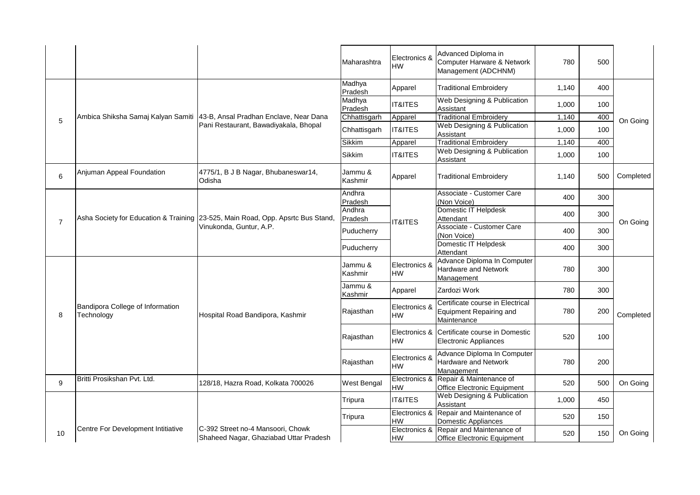|                |                                                |                                                                                 | Maharashtra        | Electronics &<br><b>HW</b> | Advanced Diploma in<br>Computer Harware & Network<br>Management (ADCHNM)          | 780   | 500 |           |
|----------------|------------------------------------------------|---------------------------------------------------------------------------------|--------------------|----------------------------|-----------------------------------------------------------------------------------|-------|-----|-----------|
|                |                                                |                                                                                 | Madhya<br>Pradesh  | Apparel                    | <b>Traditional Embroidery</b>                                                     | 1,140 | 400 |           |
|                |                                                |                                                                                 | Madhya<br>Pradesh  | <b>IT&amp;ITES</b>         | Web Designing & Publication<br>Assistant                                          | 1,000 | 100 |           |
| 5              |                                                | Ambica Shiksha Samaj Kalyan Samiti   43-B, Ansal Pradhan Enclave, Near Dana     | Chhattisgarh       | Apparel                    | <b>Traditional Embroidery</b>                                                     | 1,140 | 400 | On Going  |
|                |                                                | Pani Restaurant, Bawadiyakala, Bhopal                                           | Chhattisgarh       | <b>IT&amp;ITES</b>         | Web Designing & Publication<br>Assistant                                          | 1,000 | 100 |           |
|                |                                                |                                                                                 | Sikkim             | Apparel                    | <b>Traditional Embroidery</b>                                                     | 1,140 | 400 |           |
|                |                                                |                                                                                 | Sikkim             | <b>IT&amp;ITES</b>         | Web Designing & Publication<br>Assistant                                          | 1,000 | 100 |           |
| 6              | Anjuman Appeal Foundation                      | 4775/1, B J B Nagar, Bhubaneswar14,<br>Odisha                                   | Jammu &<br>Kashmir | Apparel                    | <b>Traditional Embroidery</b>                                                     | 1,140 | 500 | Completed |
|                |                                                |                                                                                 | Andhra<br>Pradesh  |                            | Associate - Customer Care<br>(Non Voice)                                          | 400   | 300 |           |
| $\overline{7}$ |                                                | Asha Society for Education & Training 23-525, Main Road, Opp. Apsrtc Bus Stand, | Andhra<br>Pradesh  | <b>IT&amp;ITES</b>         | Domestic IT Helpdesk<br>Attendant                                                 | 400   | 300 | On Going  |
|                |                                                | Vinukonda, Guntur, A.P.                                                         | Puducherry         |                            | Associate - Customer Care<br>(Non Voice)                                          | 400   | 300 |           |
|                |                                                |                                                                                 | Puducherry         |                            | Domestic IT Helpdesk<br>Attendant                                                 | 400   | 300 |           |
|                |                                                |                                                                                 | Jammu &<br>Kashmir | Electronics &<br><b>HW</b> | Advance Diploma In Computer<br>Hardware and Network<br>Management                 | 780   | 300 |           |
|                |                                                |                                                                                 | Jammu &<br>Kashmir | Apparel                    | Zardozi Work                                                                      | 780   | 300 |           |
| 8              | Bandipora College of Information<br>Technology | Hospital Road Bandipora, Kashmir                                                | Rajasthan          | Electronics &<br><b>HW</b> | Certificate course in Electrical<br><b>Equipment Repairing and</b><br>Maintenance | 780   | 200 | Completed |
|                |                                                |                                                                                 | Rajasthan          | <b>HW</b>                  | Electronics & Certificate course in Domestic<br><b>Electronic Appliances</b>      | 520   | 100 |           |
|                |                                                |                                                                                 | Rajasthan          | Electronics &<br>HW        | Advance Diploma In Computer<br>Hardware and Network<br>Management                 | 780   | 200 |           |
| 9              | Britti Prosikshan Pvt. Ltd.                    | 128/18, Hazra Road, Kolkata 700026                                              | West Bengal        | Electronics &<br><b>HW</b> | Repair & Maintenance of<br>Office Electronic Equipment                            | 520   | 500 | On Going  |
|                |                                                |                                                                                 | Tripura            | <b>IT&amp;ITES</b>         | Web Designing & Publication<br>Assistant                                          | 1,000 | 450 |           |
|                |                                                |                                                                                 | Tripura            | <b>HW</b>                  | Electronics & Repair and Maintenance of<br>Domestic Appliances                    | 520   | 150 |           |
| 10             | Centre For Development Intitiative             | C-392 Street no-4 Mansoori, Chowk<br>Shaheed Nagar, Ghaziabad Uttar Pradesh     |                    | HW                         | Electronics & Repair and Maintenance of<br>Office Electronic Equipment            | 520   | 150 | On Going  |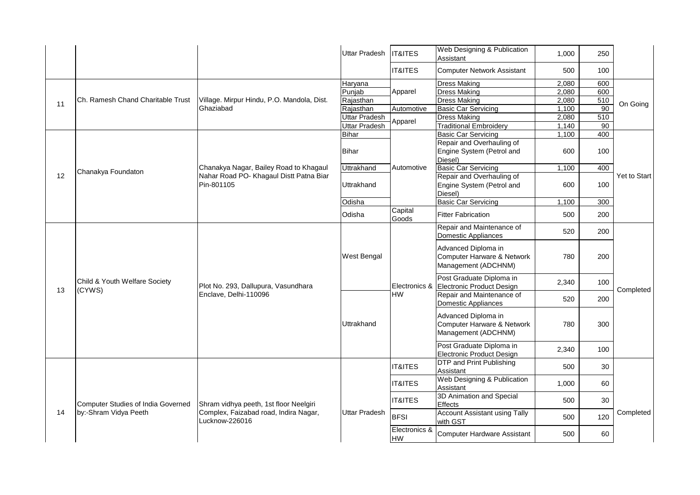|    |                                    |                                                         | <b>Uttar Pradesh</b> | <b>IT&amp;ITES</b>         | Web Designing & Publication<br>Assistant                                 | 1,000                               | 250             |              |  |
|----|------------------------------------|---------------------------------------------------------|----------------------|----------------------------|--------------------------------------------------------------------------|-------------------------------------|-----------------|--------------|--|
|    |                                    |                                                         |                      | <b>IT&amp;ITES</b>         | <b>Computer Network Assistant</b>                                        | 500                                 | 100             |              |  |
|    |                                    |                                                         | Haryana              |                            | <b>Dress Making</b>                                                      | 2,080                               | 600             |              |  |
|    |                                    |                                                         | Punjab               | Apparel                    | <b>Dress Making</b>                                                      | 2,080                               | 600             |              |  |
|    | Ch. Ramesh Chand Charitable Trust  | Village. Mirpur Hindu, P.O. Mandola, Dist.              | Rajasthan            |                            | <b>Dress Making</b>                                                      | 2,080                               | 510             |              |  |
| 11 |                                    | Ghaziabad                                               | Rajasthan            | Automotive                 | <b>Basic Car Servicing</b>                                               | 1,100                               | $\overline{90}$ | On Going     |  |
|    |                                    |                                                         | Uttar Pradesh        |                            | <b>Dress Making</b>                                                      | 2,080                               | 510             |              |  |
|    |                                    |                                                         | Uttar Pradesh        | Apparel                    | <b>Traditional Embroidery</b>                                            | 1,140                               | $\overline{90}$ |              |  |
|    |                                    |                                                         | <b>Bihar</b>         |                            | <b>Basic Car Servicing</b>                                               | 1,100                               | 400             |              |  |
|    |                                    |                                                         |                      |                            | Repair and Overhauling of                                                |                                     |                 |              |  |
|    |                                    |                                                         | Bihar                |                            | Engine System (Petrol and<br>Diesel)                                     | 600                                 | 100             |              |  |
|    | Chanakya Foundaton                 | Chanakya Nagar, Bailey Road to Khagaul                  | Uttrakhand           | Automotive                 | <b>Basic Car Servicing</b>                                               | 1,100                               | 400             |              |  |
| 12 |                                    | Nahar Road PO- Khagaul Distt Patna Biar<br>Pin-801105   | Uttrakhand           |                            | Repair and Overhauling of<br>Engine System (Petrol and<br>Diesel)        | 600                                 | 100             | Yet to Start |  |
|    |                                    |                                                         | Odisha               |                            | <b>Basic Car Servicing</b>                                               | 1,100                               | 300             |              |  |
|    |                                    |                                                         | Odisha               | Capital<br>Goods           | <b>Fitter Fabrication</b>                                                | 500                                 | 200             |              |  |
|    |                                    |                                                         |                      |                            | Repair and Maintenance of<br>Domestic Appliances                         | 520                                 | 200             |              |  |
|    |                                    |                                                         | <b>West Bengal</b>   |                            | Advanced Diploma in<br>Computer Harware & Network<br>Management (ADCHNM) | 780                                 | 200             |              |  |
| 13 | Child & Youth Welfare Society      | Plot No. 293, Dallupura, Vasundhara                     |                      | Electronics &              | Post Graduate Diploma in<br>Electronic Product Design                    | 2,340                               | 100             | Completed    |  |
|    | (CYWS)                             | Enclave, Delhi-110096                                   |                      | HW                         | Repair and Maintenance of<br>Domestic Appliances                         | 520                                 | 200             |              |  |
|    |                                    |                                                         | Uttrakhand           |                            | Advanced Diploma in<br>Computer Harware & Network<br>Management (ADCHNM) | 780                                 | 300             |              |  |
|    |                                    |                                                         |                      |                            | Post Graduate Diploma in<br><b>Electronic Product Design</b>             | 2,340                               | 100             |              |  |
|    |                                    |                                                         |                      | <b>IT&amp;ITES</b>         | <b>DTP</b> and Print Publishing<br>Assistant                             | 500                                 | 30              |              |  |
|    |                                    |                                                         |                      | <b>IT&amp;ITES</b>         | Web Designing & Publication<br>Assistant                                 | 1,000                               | 60              |              |  |
| 14 | Computer Studies of India Governed | Shram vidhya peeth, 1st floor Neelgiri                  | Uttar Pradesh        |                            | <b>IT&amp;ITES</b>                                                       | 3D Animation and Special<br>Effects | 500             | 30           |  |
|    | by:-Shram Vidya Peeth              | Complex, Faizabad road, Indira Nagar,<br>Lucknow-226016 |                      | <b>BFSI</b>                | <b>Account Assistant using Tally</b><br>with GST                         | 500                                 | 120             | Completed    |  |
|    |                                    |                                                         |                      | Electronics &<br><b>HW</b> | <b>Computer Hardware Assistant</b>                                       | 500                                 | 60              |              |  |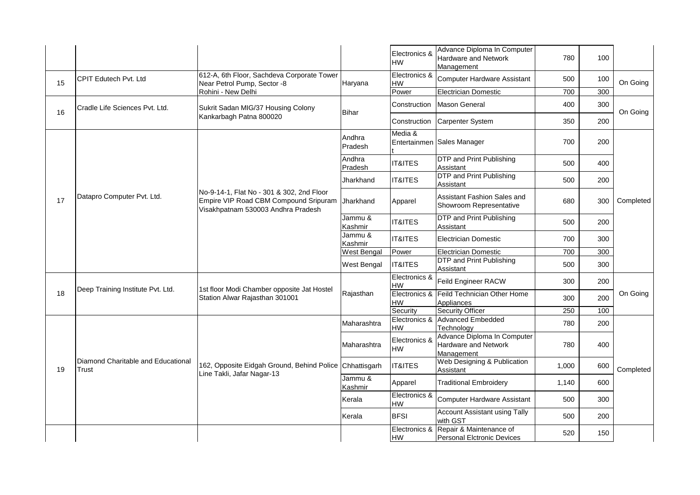|    |                                             |                                                                                                                          |                    | Electronics &<br>HW        | Advance Diploma In Computer<br>Hardware and Network<br>Management | 780   | 100 |           |
|----|---------------------------------------------|--------------------------------------------------------------------------------------------------------------------------|--------------------|----------------------------|-------------------------------------------------------------------|-------|-----|-----------|
| 15 | <b>CPIT Edutech Pvt. Ltd</b>                | 612-A, 6th Floor, Sachdeva Corporate Tower<br>Near Petrol Pump, Sector -8                                                | Haryana            | Electronics &<br><b>HW</b> | <b>Computer Hardware Assistant</b>                                | 500   | 100 | On Going  |
|    |                                             | Rohini - New Delhi                                                                                                       |                    | Power                      | <b>Electrician Domestic</b>                                       | 700   | 300 |           |
| 16 | Cradle Life Sciences Pvt. Ltd.              | Sukrit Sadan MIG/37 Housing Colony                                                                                       | <b>Bihar</b>       | Construction               | Mason General                                                     | 400   | 300 | On Going  |
|    |                                             | Kankarbagh Patna 800020                                                                                                  |                    |                            | Construction   Carpenter System                                   | 350   | 200 |           |
|    |                                             |                                                                                                                          | Andhra<br>Pradesh  | Media &                    | Entertainmen Sales Manager                                        | 700   | 200 |           |
|    |                                             |                                                                                                                          | Andhra<br>Pradesh  | <b>IT&amp;ITES</b>         | <b>DTP and Print Publishing</b><br>Assistant                      | 500   | 400 |           |
|    |                                             |                                                                                                                          | Jharkhand          | <b>IT&amp;ITES</b>         | DTP and Print Publishing<br>Assistant                             | 500   | 200 |           |
| 17 | Datapro Computer Pvt. Ltd.                  | No-9-14-1, Flat No - 301 & 302, 2nd Floor<br>Empire VIP Road CBM Compound Sripuram<br>Visakhpatnam 530003 Andhra Pradesh | Jharkhand          | Apparel                    | Assistant Fashion Sales and<br>Showroom Representative            | 680   | 300 | Completed |
|    |                                             |                                                                                                                          | Jammu &<br>Kashmir | <b>IT&amp;ITES</b>         | <b>DTP and Print Publishing</b><br>Assistant                      | 500   | 200 |           |
|    |                                             |                                                                                                                          | Jammu &<br>Kashmir | <b>IT&amp;ITES</b>         | <b>Electrician Domestic</b>                                       | 700   | 300 |           |
|    |                                             |                                                                                                                          | West Bengal        | Power                      | <b>Electrician Domestic</b>                                       | 700   | 300 |           |
|    |                                             |                                                                                                                          | West Bengal        | <b>IT&amp;ITES</b>         | <b>DTP and Print Publishing</b><br>Assistant                      | 500   | 300 |           |
|    | Deep Training Institute Pvt. Ltd.           | 1st floor Modi Chamber opposite Jat Hostel                                                                               |                    | Electronics &<br>HW        | Feild Engineer RACW                                               | 300   | 200 |           |
| 18 |                                             | Station Alwar Rajasthan 301001                                                                                           | Rajasthan          | HW                         | Electronics & Feild Technician Other Home<br>Appliances           | 300   | 200 | On Going  |
|    |                                             |                                                                                                                          |                    | Security                   | Security Officer                                                  | 250   | 100 |           |
|    |                                             |                                                                                                                          | Maharashtra        | HW                         | Electronics & Advanced Embedded<br>Technology                     | 780   | 200 |           |
|    |                                             |                                                                                                                          | Maharashtra        | Electronics &<br>HW        | Advance Diploma In Computer<br>Hardware and Network<br>Management | 780   | 400 |           |
| 19 | Diamond Charitable and Educational<br>Trust | 162, Opposite Eidgah Ground, Behind Police<br>Line Takli, Jafar Nagar-13                                                 | Chhattisgarh       | <b>IT&amp;ITES</b>         | Web Designing & Publication<br>Assistant                          | 1,000 | 600 | Completed |
|    |                                             |                                                                                                                          | Jammu &<br>Kashmir | Apparel                    | <b>Traditional Embroidery</b>                                     | 1,140 | 600 |           |
|    |                                             |                                                                                                                          | Kerala             | Electronics &<br><b>HW</b> | Computer Hardware Assistant                                       | 500   | 300 |           |
|    |                                             |                                                                                                                          | Kerala             | <b>BFSI</b>                | <b>Account Assistant using Tally</b><br>with GST                  | 500   | 200 |           |
|    |                                             |                                                                                                                          |                    | Electronics &<br>HW        | Repair & Maintenance of<br>Personal Elctronic Devices             | 520   | 150 |           |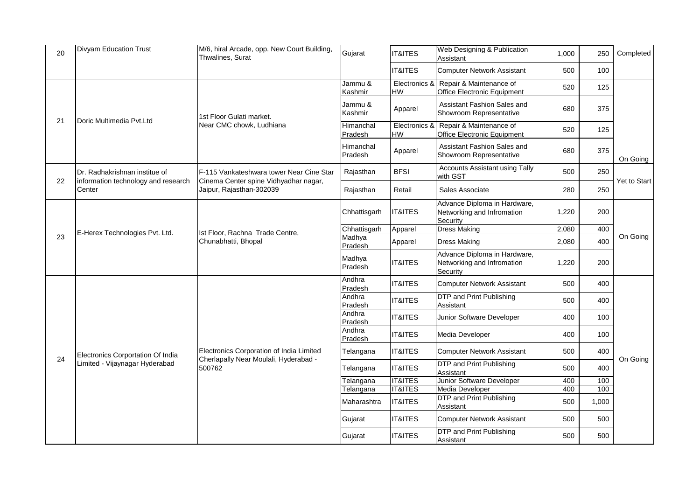| 20 | <b>Divyam Education Trust</b>                 | M/6, hiral Arcade, opp. New Court Building,<br>Thwalines, Surat                   | Gujarat              | <b>IT&amp;ITES</b>         | Web Designing & Publication<br>Assistant                               | 1,000 | 250   | Completed    |
|----|-----------------------------------------------|-----------------------------------------------------------------------------------|----------------------|----------------------------|------------------------------------------------------------------------|-------|-------|--------------|
|    |                                               |                                                                                   |                      | <b>IT&amp;ITES</b>         | <b>Computer Network Assistant</b>                                      | 500   | 100   |              |
|    |                                               |                                                                                   | Jammu &<br>Kashmir   | Electronics &<br><b>HW</b> | Repair & Maintenance of<br>Office Electronic Equipment                 | 520   | 125   |              |
|    |                                               | 1st Floor Gulati market.                                                          | Jammu &<br>Kashmir   | Apparel                    | Assistant Fashion Sales and<br>Showroom Representative                 | 680   | 375   |              |
| 21 | Doric Multimedia Pvt.Ltd                      | Near CMC chowk, Ludhiana                                                          | Himanchal<br>Pradesh | Electronics &<br>HW        | Repair & Maintenance of<br>Office Electronic Equipment                 | 520   | 125   |              |
|    |                                               |                                                                                   | Himanchal<br>Pradesh | Apparel                    | Assistant Fashion Sales and<br>Showroom Representative                 | 680   | 375   | On Going     |
|    | Dr. Radhakrishnan institue of                 | F-115 Vankateshwara tower Near Cine Star                                          | Rajasthan            | <b>BFSI</b>                | <b>Accounts Assistant using Tally</b><br>with GST                      | 500   | 250   |              |
| 22 | information technology and research<br>Center | Cinema Center spine Vidhyadhar nagar,<br>Jaipur, Rajasthan-302039                 | Rajasthan            | Retail                     | Sales Associate                                                        | 280   | 250   | Yet to Start |
|    |                                               |                                                                                   | Chhattisgarh         | IT&ITES                    | Advance Diploma in Hardware,<br>Networking and Infromation<br>Security | 1,220 | 200   |              |
|    | E-Herex Technologies Pvt. Ltd.                | Ist Floor, Rachna Trade Centre,                                                   | Chhattisgarh         | Apparel                    | <b>Dress Making</b>                                                    | 2,080 | 400   |              |
| 23 |                                               | Chunabhatti, Bhopal                                                               | Madhya<br>Pradesh    | Apparel                    | Dress Making                                                           | 2,080 | 400   | On Going     |
|    |                                               |                                                                                   | Madhya<br>Pradesh    | IT&ITES                    | Advance Diploma in Hardware,<br>Networking and Infromation<br>Security | 1,220 | 200   |              |
|    |                                               |                                                                                   | Andhra<br>Pradesh    | <b>IT&amp;ITES</b>         | <b>Computer Network Assistant</b>                                      | 500   | 400   |              |
|    |                                               |                                                                                   | Andhra<br>Pradesh    | IT&ITES                    | DTP and Print Publishing<br>Assistant                                  | 500   | 400   |              |
|    |                                               |                                                                                   | Andhra<br>Pradesh    | <b>IT&amp;ITES</b>         | Junior Software Developer                                              | 400   | 100   |              |
|    |                                               |                                                                                   | Andhra<br>Pradesh    | <b>IT&amp;ITES</b>         | Media Developer                                                        | 400   | 100   |              |
| 24 | Electronics Corportation Of India             | Electronics Corporation of India Limited<br>Cherlapally Near Moulali, Hyderabad - | Telangana            | IT&ITES                    | <b>Computer Network Assistant</b>                                      | 500   | 400   |              |
|    | Limited - Vijaynagar Hyderabad                | 500762                                                                            | Telangana            | <b>IT&amp;ITES</b>         | DTP and Print Publishing<br>Assistant                                  | 500   | 400   | On Going     |
|    |                                               |                                                                                   | Telangana            | <b>IT&amp;ITES</b>         | Junior Software Developer                                              | 400   | 100   |              |
|    |                                               |                                                                                   | Telangana            | <b>IT&amp;ITES</b>         | Media Developer                                                        | 400   | 100   |              |
|    |                                               |                                                                                   | Maharashtra          | <b>IT&amp;ITES</b>         | DTP and Print Publishing<br>Assistant                                  | 500   | 1,000 |              |
|    |                                               |                                                                                   | Gujarat              | <b>IT&amp;ITES</b>         | <b>Computer Network Assistant</b>                                      | 500   | 500   |              |
|    |                                               |                                                                                   | Gujarat              | <b>IT&amp;ITES</b>         | DTP and Print Publishing<br>Assistant                                  | 500   | 500   |              |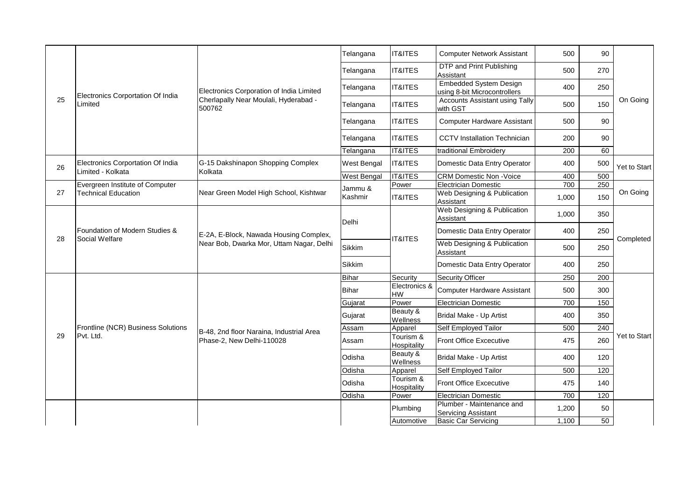|    |                                                        |                                                 | Telangana    | <b>IT&amp;ITES</b>         | <b>Computer Network Assistant</b>                             | 500   | 90  |              |
|----|--------------------------------------------------------|-------------------------------------------------|--------------|----------------------------|---------------------------------------------------------------|-------|-----|--------------|
|    |                                                        |                                                 | Telangana    | <b>IT&amp;ITES</b>         | DTP and Print Publishing<br>Assistant                         | 500   | 270 |              |
|    |                                                        | Electronics Corporation of India Limited        | Telangana    | <b>IT&amp;ITES</b>         | <b>Embedded System Design</b><br>using 8-bit Microcontrollers | 400   | 250 |              |
| 25 | Electronics Corportation Of India<br>Limited           | Cherlapally Near Moulali, Hyderabad -<br>500762 | Telangana    | <b>IT&amp;ITES</b>         | <b>Accounts Assistant using Tally</b><br>with GST             | 500   | 150 | On Going     |
|    |                                                        |                                                 | Telangana    | <b>IT&amp;ITES</b>         | <b>Computer Hardware Assistant</b>                            | 500   | 90  |              |
|    |                                                        |                                                 | Telangana    | <b>IT&amp;ITES</b>         | <b>CCTV</b> Installation Technician                           | 200   | 90  |              |
|    |                                                        |                                                 | Telangana    | <b>IT&amp;ITES</b>         | traditional Embroidery                                        | 200   | 60  |              |
| 26 | Electronics Corportation Of India<br>Limited - Kolkata | G-15 Dakshinapon Shopping Complex<br>Kolkata    | West Bengal  | <b>IT&amp;ITES</b>         | Domestic Data Entry Operator                                  | 400   | 500 | Yet to Start |
|    |                                                        |                                                 | West Bengal  | <b>IT&amp;ITES</b>         | <b>CRM Domestic Non -Voice</b>                                | 400   | 500 |              |
|    | Evergreen Institute of Computer                        |                                                 | Jammu &      | Power                      | <b>Electrician Domestic</b>                                   | 700   | 250 |              |
| 27 | <b>Technical Education</b>                             | Near Green Model High School, Kishtwar          | Kashmir      | <b>IT&amp;ITES</b>         | Web Designing & Publication<br>Assistant                      | 1,000 | 150 | On Going     |
|    |                                                        |                                                 | Delhi        |                            | Web Designing & Publication<br>Assistant                      | 1,000 | 350 |              |
|    | Foundation of Modern Studies &<br>Social Welfare       | E-2A, E-Block, Nawada Housing Complex,          |              | <b>IT&amp;ITES</b>         | Domestic Data Entry Operator                                  | 400   | 250 | Completed    |
| 28 |                                                        | Near Bob, Dwarka Mor, Uttam Nagar, Delhi        | Sikkim       |                            | Web Designing & Publication<br>Assistant                      | 500   | 250 |              |
|    |                                                        |                                                 | Sikkim       |                            | Domestic Data Entry Operator                                  | 400   | 250 |              |
|    |                                                        |                                                 | <b>Bihar</b> | Security                   | Security Officer                                              | 250   | 200 |              |
|    |                                                        |                                                 | Bihar        | Electronics &<br><b>HW</b> | <b>Computer Hardware Assistant</b>                            | 500   | 300 |              |
|    |                                                        |                                                 | Gujarat      | Power                      | <b>Electrician Domestic</b>                                   | 700   | 150 |              |
|    |                                                        |                                                 | Gujarat      | Beauty &<br>Wellness       | Bridal Make - Up Artist                                       | 400   | 350 |              |
|    | Frontline (NCR) Business Solutions                     | B-48, 2nd floor Naraina, Industrial Area        | Assam        | Apparel                    | Self Employed Tailor                                          | 500   | 240 |              |
| 29 | Pvt. Ltd.                                              | Phase-2, New Delhi-110028                       | Assam        | Tourism &<br>Hospitality   | Front Office Excecutive                                       | 475   | 260 | Yet to Start |
|    |                                                        |                                                 | Odisha       | Beauty &<br>Wellness       | Bridal Make - Up Artist                                       | 400   | 120 |              |
|    |                                                        |                                                 | Odisha       | Apparel                    | Self Employed Tailor                                          | 500   | 120 |              |
|    |                                                        |                                                 | Odisha       | Tourism &<br>Hospitality   | Front Office Excecutive                                       | 475   | 140 |              |
|    |                                                        |                                                 | Odisha       | Power                      | <b>Electrician Domestic</b>                                   | 700   | 120 |              |
|    |                                                        |                                                 |              | Plumbing                   | Plumber - Maintenance and<br><b>Servicing Assistant</b>       | 1,200 | 50  |              |
|    |                                                        |                                                 |              | Automotive                 | <b>Basic Car Servicing</b>                                    | 1,100 | 50  |              |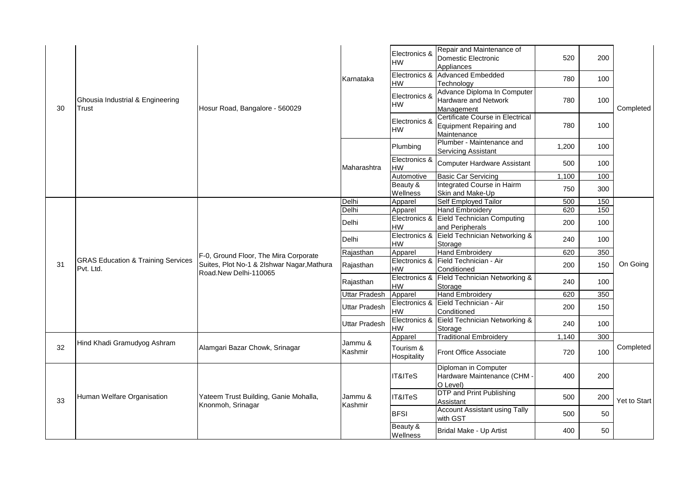|    |                                                            |                                            |                      | Electronics &<br>HW      | Repair and Maintenance of<br>Domestic Electronic<br>Appliances             | 520                  | 200                     |                                                           |    |
|----|------------------------------------------------------------|--------------------------------------------|----------------------|--------------------------|----------------------------------------------------------------------------|----------------------|-------------------------|-----------------------------------------------------------|----|
|    |                                                            |                                            | Karnataka            | HW                       | Electronics & Advanced Embedded<br>Technology                              | 780                  | 100                     |                                                           |    |
| 30 | Ghousia Industrial & Engineering<br>Trust                  | Hosur Road, Bangalore - 560029             |                      | Electronics &<br>HW      | Advance Diploma In Computer<br>Hardware and Network<br>Management          | 780                  | 100                     | Completed<br>150<br>On Going<br>Completed<br>Yet to Start |    |
|    |                                                            |                                            |                      | Electronics &<br>HW      | Certificate Course in Electrical<br>Equipment Repairing and<br>Maintenance | 780                  | 100                     |                                                           |    |
|    |                                                            |                                            |                      | Plumbing                 | Plumber - Maintenance and<br>Servicing Assistant                           | 1,200                | 100                     |                                                           |    |
|    |                                                            |                                            | Maharashtra          | Electronics &<br>HW      | Computer Hardware Assistant                                                | 500                  | 100                     |                                                           |    |
|    |                                                            |                                            |                      | Automotive               | <b>Basic Car Servicing</b>                                                 | 1,100                | 100                     |                                                           |    |
|    |                                                            |                                            |                      | Beauty &<br>Wellness     | Integrated Course in Hairm<br>Skin and Make-Up                             | 750                  | 300                     |                                                           |    |
|    |                                                            |                                            | Delhi                | Apparel                  | Self Employed Tailor                                                       | 500                  | 150                     |                                                           |    |
|    |                                                            |                                            | Delhi                | Apparel                  | Hand Embroidery                                                            | 620                  |                         |                                                           |    |
|    |                                                            |                                            | Delhi                | HW                       | Electronics & Eield Technician Computing<br>and Peripherals                | 200                  | 100                     |                                                           |    |
|    |                                                            |                                            | Delhi                | HW                       | Electronics & Eield Technician Networking &<br>Storage                     | 240                  | 100                     |                                                           |    |
|    |                                                            | F-0, Ground Floor, The Mira Corporate      | Rajasthan            | Apparel                  | Hand Embroidery                                                            | 620                  | 350                     |                                                           |    |
| 31 | <b>GRAS Education &amp; Training Services</b><br>Pvt. Ltd. | Suites, Plot No-1 & 2lshwar Nagar, Mathura | Rajasthan            | HW                       | Electronics & Field Technician - Air<br>Conditioned                        | 200                  | 150                     |                                                           |    |
|    |                                                            | Road.New Delhi-110065                      | Rajasthan            | HW                       | Electronics & Fleld Technician Networking &<br>Storage                     | 240                  | 100                     |                                                           |    |
|    |                                                            |                                            | Uttar Pradesh        | Apparel                  | <b>Hand Embroidery</b>                                                     | 620                  | 350                     |                                                           |    |
|    |                                                            |                                            | <b>Uttar Pradesh</b> | HW                       | Electronics & Eield Technician - Air<br>Conditioned                        | 200                  | 150                     |                                                           |    |
|    |                                                            |                                            | <b>Uttar Pradesh</b> | НW                       | Electronics & Eield Technician Networking &<br>Storage                     | 240                  | 100                     |                                                           |    |
|    |                                                            |                                            |                      | Apparel                  | <b>Traditional Embroidery</b>                                              | 1,140                | 300                     |                                                           |    |
| 32 | Hind Khadi Gramudyog Ashram                                | Alamgari Bazar Chowk, Srinagar             | Jammu &<br>Kashmir   | Tourism &<br>Hospitality | Front Office Associate                                                     | 720                  | 100                     |                                                           |    |
|    |                                                            |                                            |                      | IT&ITeS                  | Diploman in Computer<br>Hardware Maintenance (CHM -<br>O Level)            | 400                  | 200                     |                                                           |    |
| 33 | Human Welfare Organisation                                 | Yateem Trust Building, Ganie Mohalla,      | Jammu &              | <b>IT&amp;ITeS</b>       | <b>DTP</b> and Print Publishing<br>Assistant                               | 500                  | 200                     |                                                           |    |
|    |                                                            | Knonmoh, Srinagar                          | Kashmir              | <b>BFSI</b>              | <b>Account Assistant using Tally</b><br>with GST                           | 500                  | 50                      |                                                           |    |
|    |                                                            |                                            |                      |                          |                                                                            | Beauty &<br>Wellness | Bridal Make - Up Artist | 400                                                       | 50 |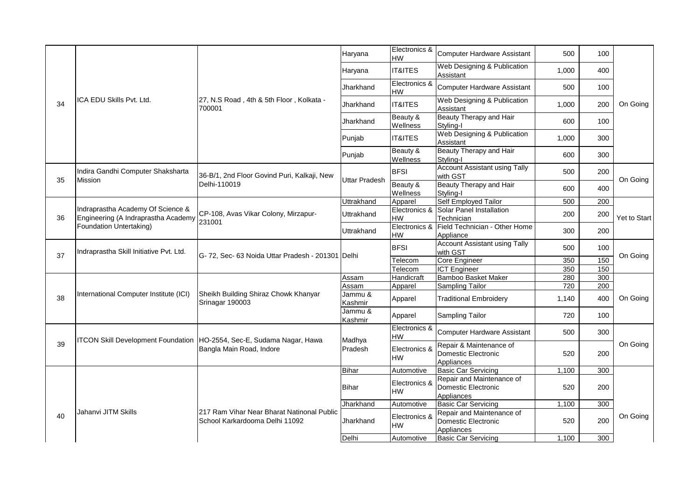|    |                                                                          |                                                                         | Haryana            | Electronics &<br><b>HW</b> | <b>Computer Hardware Assistant</b>                   | 500                 | 100                                                          |                                                                      |     |  |
|----|--------------------------------------------------------------------------|-------------------------------------------------------------------------|--------------------|----------------------------|------------------------------------------------------|---------------------|--------------------------------------------------------------|----------------------------------------------------------------------|-----|--|
|    |                                                                          |                                                                         | Haryana            | <b>IT&amp;ITES</b>         | Web Designing & Publication<br>Assistant             | 1,000               | 400                                                          |                                                                      |     |  |
|    |                                                                          |                                                                         | Jharkhand          | Electronics &<br>HW        | <b>Computer Hardware Assistant</b>                   | 500                 | 100                                                          | On Going<br>On Going<br>On Going<br>On Going<br>On Going<br>On Going |     |  |
| 34 | ICA EDU Skills Pvt. Ltd.                                                 | 27, N.S Road, 4th & 5th Floor, Kolkata -<br>700001                      | Jharkhand          | <b>IT&amp;ITES</b>         | Web Designing & Publication<br>Assistant             | 1,000               | 200                                                          |                                                                      |     |  |
|    |                                                                          |                                                                         | Jharkhand          | Beauty &<br>Wellness       | Beauty Therapy and Hair<br>Stvling-I                 | 600                 | 100                                                          |                                                                      |     |  |
|    |                                                                          |                                                                         | Punjab             | <b>IT&amp;ITES</b>         | Web Designing & Publication<br>Assistant             | 1,000               | 300                                                          |                                                                      |     |  |
|    |                                                                          |                                                                         | Punjab             | Beauty &<br>Wellness       | Beauty Therapy and Hair<br>Styling-I                 | 600                 | 300                                                          | Yet to Start                                                         |     |  |
| 35 | Indira Gandhi Computer Shaksharta<br><b>Mission</b>                      | 36-B/1, 2nd Floor Govind Puri, Kalkaji, New                             | Uttar Pradesh      | <b>BFSI</b>                | <b>Account Assistant using Tally</b><br>with GST     | 500                 | 200                                                          |                                                                      |     |  |
|    |                                                                          | Delhi-110019                                                            |                    | Beauty &<br>Wellness       | Beauty Therapy and Hair<br>Styling-I                 | 600                 | 400                                                          |                                                                      |     |  |
|    |                                                                          |                                                                         | Uttrakhand         | Apparel                    | Self Employed Tailor                                 | 500                 | 200                                                          |                                                                      |     |  |
| 36 | Indraprastha Academy Of Science &<br>Engineering (A Indraprastha Academy | CP-108, Avas Vikar Colony, Mirzapur-                                    | Uttrakhand         | <b>HW</b>                  | Electronics & Solar Panel Installation<br>Technician | 200                 | 200                                                          |                                                                      |     |  |
|    | Foundation Untertaking)                                                  | 231001                                                                  | Uttrakhand         | Electronics &<br>HW        | Field Technician - Other Home<br>Appliance           | 300                 | 200                                                          |                                                                      |     |  |
|    | Indraprastha Skill Initiative Pvt. Ltd.                                  |                                                                         |                    | <b>BFSI</b>                | <b>Account Assistant using Tally</b><br>with GST     | 500                 | 100                                                          |                                                                      |     |  |
| 37 |                                                                          | G-72, Sec-63 Noida Uttar Pradesh - 201301 Delhi                         |                    | Telecom                    | Core Engineer                                        | 350                 | 150                                                          |                                                                      |     |  |
|    |                                                                          |                                                                         |                    | Telecom                    | <b>ICT</b> Engineer                                  | 350                 | 150                                                          |                                                                      |     |  |
|    |                                                                          |                                                                         | Assam              | Handicraft                 | Bamboo Basket Maker                                  | 280                 | 300                                                          |                                                                      |     |  |
|    |                                                                          |                                                                         | Assam              | Apparel                    | Sampling Tailor                                      | 720                 | 200                                                          |                                                                      |     |  |
| 38 | International Computer Institute (ICI)                                   | Sheikh Building Shiraz Chowk Khanyar<br>Srinagar 190003                 | Jammu &<br>Kashmir | Apparel                    | <b>Traditional Embroidery</b>                        | 1,140               | 400                                                          |                                                                      |     |  |
|    |                                                                          |                                                                         | Jammu &<br>Kashmir | Apparel                    | Sampling Tailor                                      | 720                 | 100                                                          |                                                                      |     |  |
|    |                                                                          | ITCON Skill Development Foundation   HO-2554, Sec-E, Sudama Nagar, Hawa |                    | Electronics &<br><b>HW</b> | <b>Computer Hardware Assistant</b>                   | 500                 | 300                                                          |                                                                      |     |  |
| 39 |                                                                          | Bangla Main Road, Indore                                                | Pradesh            |                            | Madhya                                               | Electronics &<br>HW | Repair & Maintenance of<br>Domestic Electronic<br>Appliances | 520                                                                  | 200 |  |
|    |                                                                          |                                                                         | <b>Bihar</b>       | Automotive                 | <b>Basic Car Servicing</b>                           | 1,100               | 300                                                          |                                                                      |     |  |
|    |                                                                          |                                                                         | <b>Bihar</b>       | Electronics &<br>HW        | Repair and Maintenance of<br>Domestic Electronic     | 520                 | 200                                                          |                                                                      |     |  |
|    |                                                                          |                                                                         |                    |                            | Appliances                                           |                     |                                                              |                                                                      |     |  |
|    |                                                                          |                                                                         | Jharkhand          | Automotive                 | <b>Basic Car Servicing</b>                           | 1,100               | 300                                                          |                                                                      |     |  |
|    | Jahanvi JITM Skills                                                      | 217 Ram Vihar Near Bharat Natinonal Public                              |                    |                            | Repair and Maintenance of                            |                     |                                                              |                                                                      |     |  |
| 40 |                                                                          | School Karkardooma Delhi 11092                                          | Jharkhand          | Electronics &<br><b>HW</b> | Domestic Electronic<br>Appliances                    | 520                 | 200                                                          |                                                                      |     |  |
|    |                                                                          |                                                                         | Delhi              | Automotive                 | <b>Basic Car Servicing</b>                           | 1,100               | 300                                                          |                                                                      |     |  |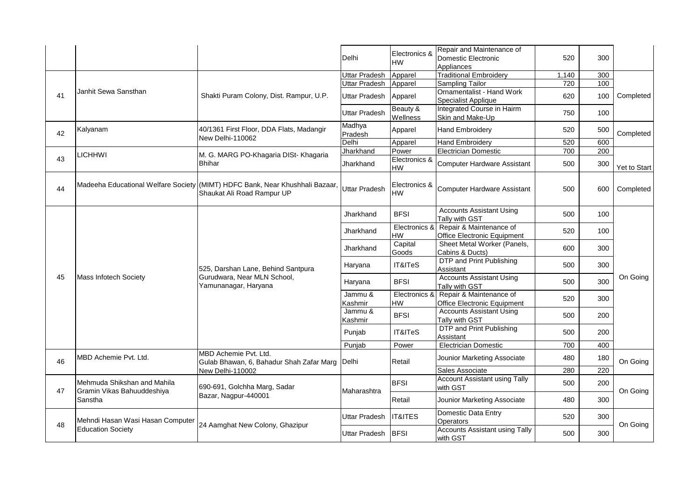|    |                                                           |                                                                                                            | Delhi                | Electronics &<br>HW        | Repair and Maintenance of<br>Domestic Electronic<br>Appliances | 520   | 300 |              |
|----|-----------------------------------------------------------|------------------------------------------------------------------------------------------------------------|----------------------|----------------------------|----------------------------------------------------------------|-------|-----|--------------|
|    |                                                           |                                                                                                            | Uttar Pradesh        | Apparel                    | <b>Traditional Embroidery</b>                                  | 1,140 | 300 |              |
|    |                                                           |                                                                                                            | Uttar Pradesh        | Apparel                    | Sampling Tailor                                                | 720   | 100 |              |
| 41 | Janhit Sewa Sansthan                                      | Shakti Puram Colony, Dist. Rampur, U.P.                                                                    | Uttar Pradesh        | Apparel                    | <b>Ornamentalist - Hand Work</b><br>Specialist Applique        | 620   | 100 | Completed    |
|    |                                                           |                                                                                                            | <b>Uttar Pradesh</b> | Beauty &<br>Wellness       | Integrated Course in Hairm<br>Skin and Make-Up                 | 750   | 100 |              |
| 42 | Kalyanam                                                  | 40/1361 First Floor, DDA Flats, Madangir<br>New Delhi-110062                                               | Madhya<br>Pradesh    | Apparel                    | <b>Hand Embroidery</b>                                         | 520   | 500 | Completed    |
|    |                                                           |                                                                                                            | Delhi                | Apparel                    | <b>Hand Embroidery</b>                                         | 520   | 600 |              |
|    | <b>LICHHWI</b>                                            | M. G. MARG PO-Khagaria DISt- Khagaria                                                                      | Jharkhand            | Power                      | <b>Electrician Domestic</b>                                    | 700   | 200 |              |
| 43 |                                                           | <b>Bhihar</b>                                                                                              | Jharkhand            | Electronics &<br><b>HW</b> | Computer Hardware Assistant                                    | 500   | 300 | Yet to Start |
| 44 |                                                           | Madeeha Educational Welfare Society (MIMT) HDFC Bank, Near Khushhali Bazaar,<br>Shaukat Ali Road Rampur UP | <b>Uttar Pradesh</b> | Electronics &<br><b>HW</b> | Computer Hardware Assistant                                    | 500   | 600 | Completed    |
|    |                                                           |                                                                                                            | Jharkhand            | <b>BFSI</b>                | <b>Accounts Assistant Using</b><br>Tally with GST              | 500   | 100 |              |
|    |                                                           |                                                                                                            | Jharkhand            | Electronics &<br>HW        | Repair & Maintenance of<br>Office Electronic Equipment         | 520   | 100 |              |
|    |                                                           |                                                                                                            | Jharkhand            | Capital<br>Goods           | Sheet Metal Worker (Panels,<br>Cabins & Ducts)                 | 600   | 300 |              |
|    |                                                           | 525, Darshan Lane, Behind Santpura                                                                         | Haryana              | IT&ITeS                    | DTP and Print Publishing<br>Assistant                          | 500   | 300 |              |
| 45 | Mass Infotech Society                                     | Gurudwara, Near MLN School,<br>Yamunanagar, Haryana                                                        | Haryana              | <b>BFSI</b>                | <b>Accounts Assistant Using</b><br>Tally with GST              | 500   | 300 | On Going     |
|    |                                                           |                                                                                                            | Jammu &<br>Kashmir   | Electronics &<br>HW        | Repair & Maintenance of<br>Office Electronic Equipment         | 520   | 300 |              |
|    |                                                           |                                                                                                            | Jammu &<br>Kashmir   | <b>BFSI</b>                | <b>Accounts Assistant Using</b><br>Tally with GST              | 500   | 200 |              |
|    |                                                           |                                                                                                            | Punjab               | IT&ITeS                    | DTP and Print Publishing<br>Assistant                          | 500   | 200 |              |
|    |                                                           |                                                                                                            | Punjab               | Power                      | <b>Electrician Domestic</b>                                    | 700   | 400 |              |
| 46 | MBD Achemie Pvt. Ltd.                                     | MBD Achemie Pvt. Ltd.<br>Gulab Bhawan, 6, Bahadur Shah Zafar Marg                                          | Delhi                | Retail                     | Jounior Marketing Associate                                    | 480   | 180 | On Going     |
|    |                                                           | New Delhi-110002                                                                                           |                      |                            | Sales Associate                                                | 280   | 220 |              |
| 47 | Mehmuda Shikshan and Mahila<br>Gramin Vikas Bahuuddeshiya | 690-691, Golchha Marg, Sadar                                                                               | Maharashtra          | <b>BFSI</b>                | <b>Account Assistant using Tally</b><br>with GST               | 500   | 200 | On Going     |
|    | Sanstha                                                   | Bazar, Nagpur-440001                                                                                       |                      | Retail                     | Jounior Marketing Associate                                    | 480   | 300 |              |
|    | Mehndi Hasan Wasi Hasan Computer                          | 24 Aamghat New Colony, Ghazipur                                                                            | Uttar Pradesh        | <b>IT&amp;ITES</b>         | Domestic Data Entry<br>Operators                               | 520   | 300 | On Going     |
| 48 | <b>Education Society</b>                                  |                                                                                                            | Uttar Pradesh        | <b>BFSI</b>                | <b>Accounts Assistant using Tally</b><br>with GST              | 500   | 300 |              |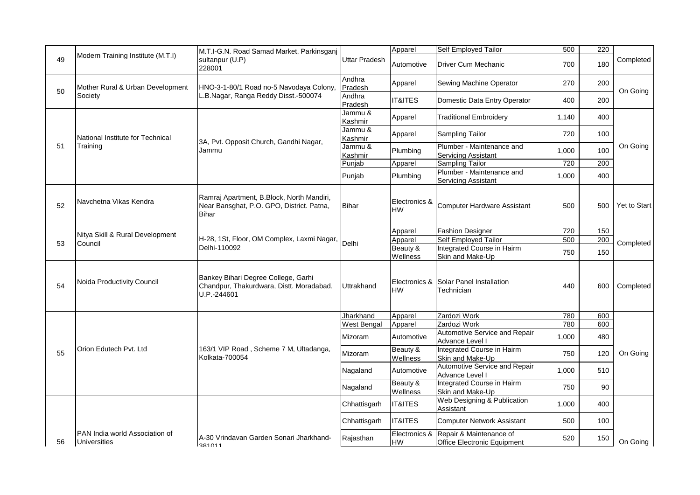|    |                                                       | M.T.I-G.N. Road Samad Market, Parkinsganj                                                       |                    | Apparel                    | Self Employed Tailor                                                        | 500   | 220 |                                                                       |
|----|-------------------------------------------------------|-------------------------------------------------------------------------------------------------|--------------------|----------------------------|-----------------------------------------------------------------------------|-------|-----|-----------------------------------------------------------------------|
| 49 | Modern Training Institute (M.T.I)                     | sultanpur (U.P)<br>228001                                                                       | Uttar Pradesh      | Automotive                 | <b>Driver Cum Mechanic</b>                                                  | 700   | 180 | Completed                                                             |
| 50 | Mother Rural & Urban Development                      | HNO-3-1-80/1 Road no-5 Navodaya Colony,                                                         | Andhra<br>Pradesh  | Apparel                    | Sewing Machine Operator                                                     | 270   | 200 | On Going<br>On Going<br><b>Yet to Start</b><br>Completed<br>Completed |
|    | Society                                               | L.B.Nagar, Ranga Reddy Disst.-500074                                                            | Andhra<br>Pradesh  | <b>IT&amp;ITES</b>         | Domestic Data Entry Operator                                                | 400   | 200 |                                                                       |
|    |                                                       |                                                                                                 | Jammu &<br>Kashmir | Apparel                    | <b>Traditional Embroidery</b>                                               | 1,140 | 400 |                                                                       |
|    | National Institute for Technical                      | 3A, Pvt. Opposit Church, Gandhi Nagar,                                                          | Jammu &<br>Kashmir | Apparel                    | Sampling Tailor                                                             | 720   | 100 |                                                                       |
| 51 | Training                                              | Jammu                                                                                           | Jammu &<br>Kashmir | Plumbing                   | Plumber - Maintenance and<br><b>Servicing Assistant</b>                     | 1,000 | 100 |                                                                       |
|    |                                                       |                                                                                                 | Punjab             | Apparel                    | <b>Sampling Tailor</b>                                                      | 720   | 200 |                                                                       |
|    |                                                       |                                                                                                 | Punjab             | Plumbing                   | Plumber - Maintenance and<br><b>Servicing Assistant</b>                     | 1,000 | 400 |                                                                       |
| 52 | Navchetna Vikas Kendra                                | Ramraj Apartment, B.Block, North Mandiri,<br>Near Bansghat, P.O. GPO, District. Patna,<br>Bihar | Bihar              | Electronics &<br><b>HW</b> | <b>Computer Hardware Assistant</b>                                          | 500   | 500 |                                                                       |
|    |                                                       |                                                                                                 |                    | Apparel                    | <b>Fashion Designer</b>                                                     | 720   | 150 |                                                                       |
|    | Nitya Skill & Rural Development                       | H-28, 1St, Floor, OM Complex, Laxmi Nagar,                                                      | Delhi              | Apparel                    | Self Employed Tailor                                                        | 500   | 200 |                                                                       |
| 53 | Council                                               | Delhi-110092                                                                                    |                    | Beauty &<br>Wellness       | Integrated Course in Hairm<br>Skin and Make-Up                              | 750   | 150 |                                                                       |
| 54 | Noida Productivity Council                            | Bankey Bihari Degree College, Garhi<br>Chandpur, Thakurdwara, Distt. Moradabad,<br>U.P.-244601  | <b>Uttrakhand</b>  | <b>HW</b>                  | Electronics & Solar Panel Installation<br>Technician                        | 440   | 600 |                                                                       |
|    |                                                       |                                                                                                 | Jharkhand          | Apparel                    | Zardozi Work                                                                | 780   | 600 |                                                                       |
|    |                                                       |                                                                                                 | West Bengal        | Apparel                    | Zardozi Work                                                                | 780   | 600 |                                                                       |
|    |                                                       |                                                                                                 | Mizoram            | Automotive                 | Automotive Service and Repair<br>Advance Level I                            | 1,000 | 480 |                                                                       |
| 55 | Orion Edutech Pvt. Ltd                                | 163/1 VIP Road, Scheme 7 M, Ultadanga,<br>Kolkata-700054                                        | Mizoram            | Beauty &<br>Wellness       | Integrated Course in Hairm<br>Skin and Make-Up                              | 750   | 120 | On Going                                                              |
|    |                                                       |                                                                                                 | Nagaland           | Automotive                 | Automotive Service and Repair<br>Advance Level I                            | 1,000 | 510 |                                                                       |
|    |                                                       |                                                                                                 | Nagaland           | Beauty &<br>Wellness       | Integrated Course in Hairm<br>Skin and Make-Up                              | 750   | 90  |                                                                       |
|    |                                                       |                                                                                                 | Chhattisgarh       | <b>IT&amp;ITES</b>         | Web Designing & Publication<br>Assistant                                    | 1,000 | 400 |                                                                       |
|    |                                                       |                                                                                                 | Chhattisgarh       | <b>IT&amp;ITES</b>         | <b>Computer Network Assistant</b>                                           | 500   | 100 |                                                                       |
| 56 | PAN India world Association of<br><b>Universities</b> | A-30 Vrindavan Garden Sonari Jharkhand-<br>381011                                               | Rajasthan          | HW                         | Electronics & Repair & Maintenance of<br><b>Office Electronic Equipment</b> | 520   | 150 | On Going                                                              |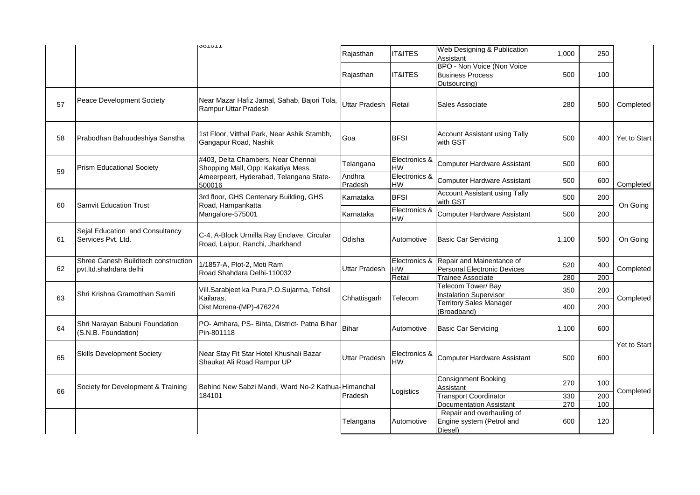|    |                                                               | <b>JUIUI</b>                                                                  | Rajasthan            | <b>IT&amp;ITES</b>         | Web Designing & Publication<br>Assistant                              | 1,000 | 250 |                     |
|----|---------------------------------------------------------------|-------------------------------------------------------------------------------|----------------------|----------------------------|-----------------------------------------------------------------------|-------|-----|---------------------|
|    |                                                               |                                                                               | Rajasthan            | IT&ITES                    | BPO - Non Voice (Non Voice<br><b>Business Process</b><br>Outsourcing) | 500   | 100 |                     |
| 57 | Peace Development Society                                     | Near Mazar Hafiz Jamal, Sahab, Bajori Tola,<br>Rampur Uttar Pradesh           | <b>Uttar Pradesh</b> | Retail                     | Sales Associate                                                       | 280   | 500 | Completed           |
| 58 | Prabodhan Bahuudeshiya Sanstha                                | 1st Floor, Vitthal Park, Near Ashik Stambh,<br>Gangapur Road, Nashik          | Goa                  | <b>BFSI</b>                | <b>Account Assistant using Tally</b><br>with GST                      | 500   | 400 | <b>Yet to Start</b> |
| 59 | <b>Prism Educational Society</b>                              | #403, Delta Chambers, Near Chennai<br>Shopping Mall, Opp: Kakatiya Mess,      | Telangana            | Electronics &<br>HW        | <b>Computer Hardware Assistant</b>                                    | 500   | 600 |                     |
|    |                                                               | Ameerpeert, Hyderabad, Telangana State-<br>500016                             | Andhra<br>Pradesh    | Electronics &<br>HW        | <b>Computer Hardware Assistant</b>                                    | 500   | 600 | Completed           |
|    |                                                               | 3rd floor, GHS Centenary Building, GHS                                        | Karnataka            | <b>BFSI</b>                | <b>Account Assistant using Tally</b><br>with GST                      | 500   | 200 |                     |
| 60 | <b>Samvit Education Trust</b>                                 | Road, Hampankatta<br>Mangalore-575001                                         | Karnataka            | Electronics &<br><b>HW</b> | <b>Computer Hardware Assistant</b>                                    | 500   | 200 | On Going            |
| 61 | Sejal Education and Consultancy<br>Services Pvt. Ltd.         | C-4, A-Block Urmilla Ray Enclave, Circular<br>Road, Lalpur, Ranchi, Jharkhand | Odisha               | Automotive                 | <b>Basic Car Servicing</b>                                            | 1,100 | 500 | On Going            |
| 62 | Shree Ganesh Buildtech construction<br>pvt.ltd.shahdara delhi | 1/1857-A, Plot-2, Moti Ram<br>Road Shahdara Delhi-110032                      | Uttar Pradesh        | Electronics &<br>HW        | Repair and Mainentance of<br><b>Personal Electronic Devices</b>       | 520   | 400 | Completed           |
|    |                                                               |                                                                               |                      | Retail                     | Trainee Associate                                                     | 280   | 200 |                     |
| 63 | Shri Krishna Gramotthan Samiti                                | Vill.Sarabjeet ka Pura, P.O.Sujarma, Tehsil<br>Kailaras,                      | Chhattisgarh         | Telecom                    | Telecom Tower/Bay<br><b>Instalation Supervisor</b>                    | 350   | 200 | Completed           |
|    |                                                               | Dist.Morena-(MP)-476224                                                       |                      |                            | <b>Territory Sales Manager</b><br>(Broadband)                         | 400   | 200 |                     |
| 64 | Shri Narayan Babuni Foundation<br>(S.N.B. Foundation)         | PO- Amhara, PS- Bihta, District- Patna Bihar<br>Pin-801118                    | Bihar                | Automotive                 | <b>Basic Car Servicing</b>                                            | 1,100 | 600 |                     |
| 65 | <b>Skills Development Society</b>                             | Near Stay Fit Star Hotel Khushali Bazar<br>Shaukat Ali Road Rampur UP         | <b>Uttar Pradesh</b> | Electronics &<br><b>HW</b> | <b>Computer Hardware Assistant</b>                                    | 500   | 600 | <b>Yet to Start</b> |
|    | Society for Development & Training                            | Behind New Sabzi Mandi, Ward No-2 Kathua-Himanchal                            |                      |                            | <b>Consignment Booking</b><br>Assistant                               | 270   | 100 |                     |
| 66 |                                                               | 184101                                                                        | Pradesh              | Logistics                  | <b>Transport Coordinator</b>                                          | 330   | 200 | Completed           |
|    |                                                               |                                                                               |                      |                            | Documentation Assistant                                               | 270   | 100 |                     |
|    |                                                               |                                                                               | Telangana            | Automotive                 | Repair and overhauling of<br>Engine system (Petrol and<br>Diesel)     | 600   | 120 |                     |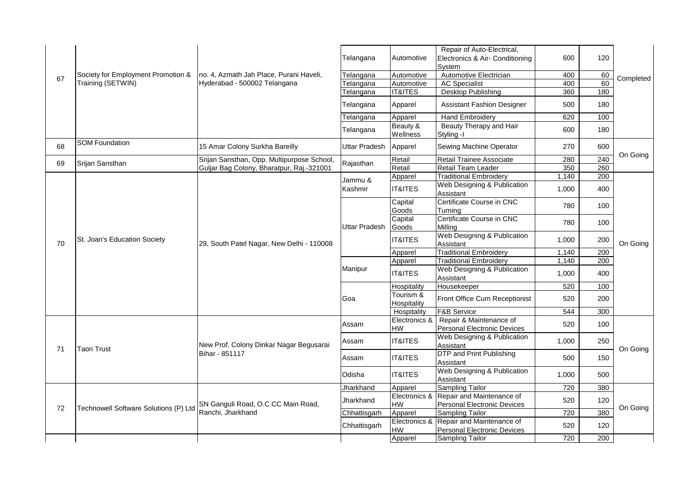|    |                                       |                                            | Telangana            | Automotive               | Repair of Auto-Electrical,<br>Electronics & Air- Conditioning<br>System       | 600   | 120 |                                               |
|----|---------------------------------------|--------------------------------------------|----------------------|--------------------------|-------------------------------------------------------------------------------|-------|-----|-----------------------------------------------|
|    | Society for Employment Promotion &    | no. 4, Azmath Jah Place, Purani Haveli,    | Telangana            | Automotive               | Automotive Electrician                                                        | 400   | 60  |                                               |
| 67 | Training (SETWIN)                     | Hyderabad - 500002 Telangana               | Telangana            | Automotive               | <b>AC Specialist</b>                                                          | 400   | 60  |                                               |
|    |                                       |                                            | Telangana            | <b>IT&amp;ITES</b>       | Desktop Publishing                                                            | 360   | 180 |                                               |
|    |                                       |                                            | Telangana            | Apparel                  | <b>Assistant Fashion Designer</b>                                             | 500   | 180 |                                               |
|    |                                       |                                            | Telangana            | Apparel                  | <b>Hand Embroidery</b>                                                        | 620   | 100 |                                               |
|    |                                       |                                            | Telangana            | Beauty &<br>Wellness     | Beauty Therapy and Hair<br>Styling -I                                         | 600   | 180 |                                               |
| 68 | <b>SOM Foundation</b>                 | 15 Amar Colony Surkha Bareilly             | <b>Uttar Pradesh</b> | Apparel                  | Sewing Machine Operator                                                       | 270   | 600 |                                               |
| 69 | Srijan Sansthan                       | Srijan Sansthan, Opp. Multipurpose School, | Rajasthan            | Retail                   | Retail Trainee Associate                                                      | 280   | 240 |                                               |
|    |                                       | Guljar Bag Colony, Bharatpur, Raj.-321001  |                      | Retail                   | Retail Team Leader                                                            | 350   | 260 |                                               |
|    |                                       |                                            | Jammu &              | Apparel                  | <b>Traditional Embroidery</b>                                                 | 1,140 | 200 |                                               |
|    |                                       |                                            | Kashmir              | <b>IT&amp;ITES</b>       | Web Designing & Publication<br>Assistant                                      | 1,000 | 400 |                                               |
| 70 |                                       |                                            |                      | Capital<br>Goods         | Certificate Course in CNC<br>Turnina                                          | 780   | 100 |                                               |
|    |                                       | 29, South Patel Nagar, New Delhi - 110008  | <b>Uttar Pradesh</b> | Capital<br>Goods         | Certificate Course in CNC<br>Milling                                          | 780   | 100 |                                               |
|    | St. Joan's Education Society          |                                            |                      | <b>IT&amp;ITES</b>       | Web Designing & Publication<br>Assistant                                      | 1,000 | 200 | On Going                                      |
|    |                                       |                                            |                      | Apparel                  | <b>Traditional Embroidery</b>                                                 | 1,140 | 200 |                                               |
|    |                                       |                                            |                      | Apparel                  | <b>Traditional Embroidery</b>                                                 | 1,140 | 200 |                                               |
|    |                                       |                                            | Manipur              | <b>IT&amp;ITES</b>       | Web Designing & Publication<br>Assistant                                      | 1,000 | 400 |                                               |
|    |                                       |                                            |                      | Hospitality              | Housekeeper                                                                   | 520   | 100 |                                               |
|    |                                       |                                            | Goa                  | Tourism &<br>Hospitality | Front Office Cum Receptionist                                                 | 520   | 200 | Completed<br>On Going<br>On Going<br>On Going |
|    |                                       |                                            |                      | Hospitality              | <b>F&amp;B Service</b>                                                        | 544   | 300 |                                               |
|    |                                       |                                            | Assam                | Electronics &<br>HW      | Repair & Maintenance of<br><b>Personal Electronic Devices</b>                 | 520   | 100 |                                               |
| 71 | Taori Trust                           | New Prof. Colony Dinkar Nagar Begusarai    | Assam                | <b>IT&amp;ITES</b>       | Web Designing & Publication<br>Assistant                                      | 1,000 | 250 |                                               |
|    |                                       | Bihar - 851117                             | Assam                | <b>IT&amp;ITES</b>       | DTP and Print Publishing<br>Assistant                                         | 500   | 150 |                                               |
|    |                                       |                                            | Odisha               | <b>IT&amp;ITES</b>       | Web Designing & Publication<br>Assistant                                      | 1,000 | 500 |                                               |
|    |                                       |                                            | Jharkhand            | Apparel                  | Sampling Tailor                                                               | 720   | 380 |                                               |
|    |                                       | SN Ganguli Road, O.C.CC Main Road,         | Jharkhand            | HW                       | Electronics & Repair and Maintenance of<br><b>Personal Electronic Devices</b> | 520   | 120 |                                               |
| 72 | Technowell Software Solutions (P) Ltd | Ranchi, Jharkhand                          | Chhattisgarh         | Apparel                  | <b>Sampling Tailor</b>                                                        | 720   | 380 |                                               |
|    |                                       |                                            | Chhattisgarh         | Electronics &<br>HW      | Repair and Maintenance of<br><b>Personal Electronic Devices</b>               | 520   | 120 |                                               |
|    |                                       |                                            |                      | Apparel                  | <b>Sampling Tailor</b>                                                        | 720   | 200 |                                               |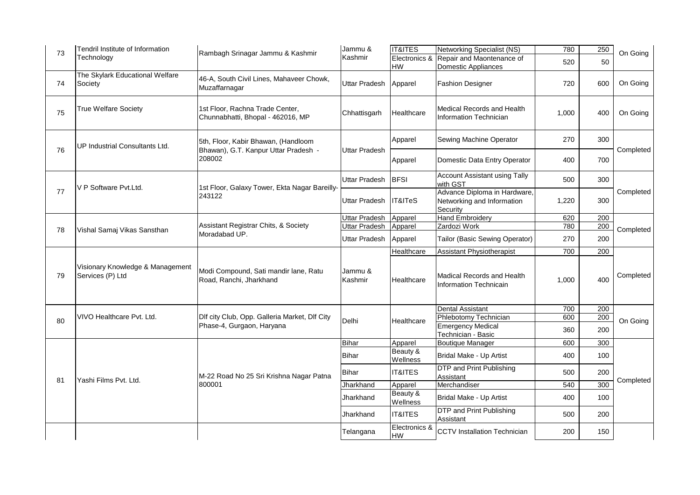| 73 | Tendril Institute of Information<br>Technology       | Rambagh Srinagar Jammu & Kashmir                                                      | Jammu &<br>Kashmir   | <b>IT&amp;ITES</b>         | <b>Networking Specialist (NS)</b>                                      | 780   | 250 | On Going  |
|----|------------------------------------------------------|---------------------------------------------------------------------------------------|----------------------|----------------------------|------------------------------------------------------------------------|-------|-----|-----------|
|    |                                                      |                                                                                       |                      | Electronics &<br>HW        | Repair and Maontenance of<br>Domestic Appliances                       | 520   | 50  |           |
| 74 | The Skylark Educational Welfare<br>Society           | 46-A, South Civil Lines, Mahaveer Chowk,<br>Muzaffarnagar                             | <b>Uttar Pradesh</b> | Apparel                    | <b>Fashion Designer</b>                                                | 720   | 600 | On Going  |
| 75 | <b>True Welfare Society</b>                          | 1st Floor, Rachna Trade Center,<br>Chunnabhatti, Bhopal - 462016, MP                  | Chhattisgarh         | Healthcare                 | Medical Records and Health<br><b>Information Technician</b>            | 1,000 | 400 | On Going  |
|    | UP Industrial Consultants Ltd.                       | 5th, Floor, Kabir Bhawan, (Handloom<br>Bhawan), G.T. Kanpur Uttar Pradesh -<br>208002 | <b>Uttar Pradesh</b> | Apparel                    | Sewing Machine Operator                                                | 270   | 300 | Completed |
| 76 |                                                      |                                                                                       |                      | Apparel                    | Domestic Data Entry Operator                                           | 400   | 700 |           |
|    | V P Software Pvt.Ltd.                                | 1st Floor, Galaxy Tower, Ekta Nagar Bareilly-<br>243122                               | <b>Uttar Pradesh</b> | <b>BFSI</b>                | <b>Account Assistant using Tally</b><br>with GST                       | 500   | 300 |           |
| 77 |                                                      |                                                                                       | <b>Uttar Pradesh</b> | IT&ITeS                    | Advance Diploma in Hardware,<br>Networking and Information<br>Security | 1,220 | 300 | Completed |
|    |                                                      |                                                                                       | <b>Uttar Pradesh</b> | Apparel                    | <b>Hand Embroidery</b>                                                 | 620   | 200 |           |
| 78 | Vishal Samaj Vikas Sansthan                          | Assistant Registrar Chits, & Society<br>Moradabad UP.                                 | Uttar Pradesh        | Apparel                    | Zardozi Work                                                           | 780   | 200 | Completed |
|    |                                                      |                                                                                       | Uttar Pradesh        | Apparel                    | Tailor (Basic Sewing Operator)                                         | 270   | 200 |           |
|    |                                                      |                                                                                       |                      | Healthcare                 | <b>Assistant Physiotherapist</b>                                       | 700   | 200 |           |
| 79 | Visionary Knowledge & Management<br>Services (P) Ltd | Modi Compound, Sati mandir lane, Ratu<br>Road, Ranchi, Jharkhand                      | Jammu &<br>Kashmir   | Healthcare                 | Madical Records and Health<br>Information Technicain                   | 1,000 | 400 | Completed |
|    |                                                      |                                                                                       |                      |                            | <b>Dental Assistant</b>                                                | 700   | 200 |           |
| 80 | VIVO Healthcare Pvt. Ltd.                            | Dlf city Club, Opp. Galleria Market, Dlf City<br>Phase-4, Gurgaon, Haryana            | Delhi                | Healthcare                 | Phlebotomy Technician                                                  | 600   | 200 | On Going  |
|    |                                                      |                                                                                       |                      |                            | <b>Emergency Medical</b><br>Technician - Basic                         | 360   | 200 |           |
|    | Yashi Films Pvt. Ltd.                                | M-22 Road No 25 Sri Krishna Nagar Patna<br>800001                                     | <b>Bihar</b>         | Apparel                    | <b>Boutique Manager</b>                                                | 600   | 300 |           |
|    |                                                      |                                                                                       | <b>Bihar</b>         | Beauty &<br>Wellness       | Bridal Make - Up Artist                                                | 400   | 100 | Completed |
|    |                                                      |                                                                                       | <b>Bihar</b>         | IT&ITES                    | <b>DTP</b> and Print Publishing<br>Assistant                           | 500   | 200 |           |
| 81 |                                                      |                                                                                       | Jharkhand            | Apparel                    | Merchandiser                                                           | 540   | 300 |           |
|    |                                                      |                                                                                       | Jharkhand            | Beauty &<br>Wellness       | Bridal Make - Up Artist                                                | 400   | 100 |           |
|    |                                                      |                                                                                       | Jharkhand            | <b>IT&amp;ITES</b>         | DTP and Print Publishing<br>Assistant                                  | 500   | 200 |           |
|    |                                                      |                                                                                       | Telangana            | Electronics &<br><b>HW</b> | <b>CCTV</b> Installation Technician                                    | 200   | 150 |           |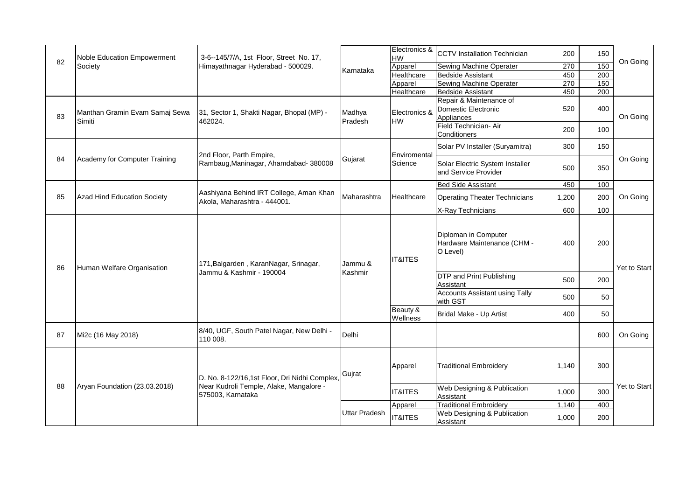| 82 | Noble Education Empowerment<br>Society   | 3-6--145/7/A, 1st Floor, Street No. 17,<br>Himayathnagar Hyderabad - 500029.                                  |                      | Electronics &<br>HW     | <b>CCTV</b> Installation Technician                                 | 200   | 150 | On Going     |
|----|------------------------------------------|---------------------------------------------------------------------------------------------------------------|----------------------|-------------------------|---------------------------------------------------------------------|-------|-----|--------------|
|    |                                          |                                                                                                               |                      | Apparel                 | Sewing Machine Operater                                             | 270   | 150 |              |
|    |                                          |                                                                                                               | Karnataka            | Healthcare              | <b>Bedside Assistant</b>                                            | 450   | 200 |              |
|    |                                          |                                                                                                               |                      | Apparel                 | Sewing Machine Operater                                             | 270   | 150 |              |
|    |                                          |                                                                                                               |                      | Healthcare              | <b>Bedside Assistant</b>                                            | 450   | 200 |              |
| 83 | Manthan Gramin Evam Samaj Sewa<br>Simiti | 31, Sector 1, Shakti Nagar, Bhopal (MP) -<br>462024.                                                          | Madhya<br>Pradesh    | Electronics &<br>HW     | Repair & Maintenance of<br><b>Domestic Electronic</b><br>Appliances | 520   | 400 | On Going     |
|    |                                          |                                                                                                               |                      |                         | Field Technician- Air<br>Conditioners                               | 200   | 100 |              |
|    |                                          | 2nd Floor, Parth Empire,<br>Rambaug, Maninagar, Ahamdabad-380008                                              | Gujarat              | Enviromental<br>Science | Solar PV Installer (Suryamitra)                                     | 300   | 150 | On Going     |
| 84 | Academy for Computer Training            |                                                                                                               |                      |                         | Solar Electric System Installer<br>and Service Provider             | 500   | 350 |              |
|    |                                          | Aashiyana Behind IRT College, Aman Khan<br>Akola, Maharashtra - 444001.                                       | Maharashtra          | Healthcare              | <b>Bed Side Assistant</b>                                           | 450   | 100 | On Going     |
| 85 | Azad Hind Education Society              |                                                                                                               |                      |                         | <b>Operating Theater Technicians</b>                                | 1,200 | 200 |              |
|    |                                          |                                                                                                               |                      |                         | X-Ray Technicians                                                   | 600   | 100 |              |
| 86 | Human Welfare Organisation               | 171, Balgarden, Karan Nagar, Srinagar,<br>Jammu & Kashmir - 190004                                            | Jammu &<br>Kashmir   | <b>IT&amp;ITES</b>      | Diploman in Computer<br>Hardware Maintenance (CHM -<br>O Level)     | 400   | 200 | Yet to Start |
|    |                                          |                                                                                                               |                      |                         | DTP and Print Publishing<br>Assistant                               | 500   | 200 |              |
|    |                                          |                                                                                                               |                      |                         | <b>Accounts Assistant using Tally</b><br>with GST                   | 500   | 50  |              |
|    |                                          |                                                                                                               |                      | Beauty &<br>Wellness    | Bridal Make - Up Artist                                             | 400   | 50  |              |
| 87 | Mi2c (16 May 2018)                       | 8/40, UGF, South Patel Nagar, New Delhi -<br>110 008.                                                         | Delhi                |                         |                                                                     |       | 600 | On Going     |
| 88 | Aryan Foundation (23.03.2018)            | D. No. 8-122/16,1st Floor, Dri Nidhi Complex,<br>Near Kudroli Temple, Alake, Mangalore -<br>575003, Karnataka | Gujrat               | Apparel                 | <b>Traditional Embroidery</b>                                       | 1,140 | 300 |              |
|    |                                          |                                                                                                               |                      | <b>IT&amp;ITES</b>      | Web Designing & Publication<br>Assistant                            | 1,000 | 300 | Yet to Start |
|    |                                          |                                                                                                               | <b>Uttar Pradesh</b> | Apparel                 | <b>Traditional Embroidery</b>                                       | 1,140 | 400 |              |
|    |                                          |                                                                                                               |                      | <b>IT&amp;ITES</b>      | Web Designing & Publication<br>Assistant                            | 1,000 | 200 |              |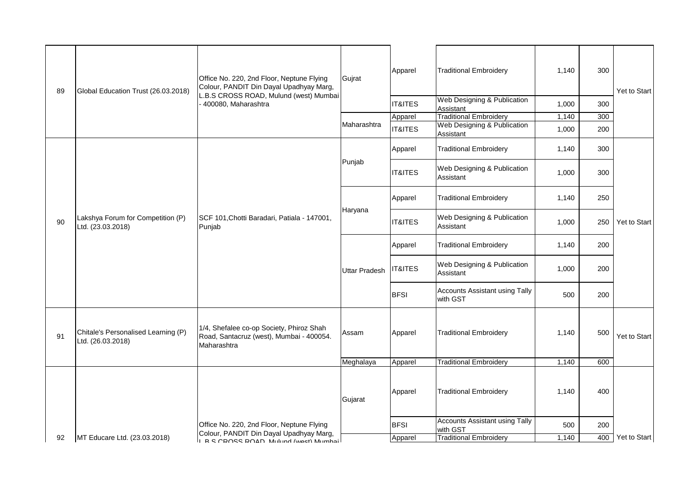| 89 | Global Education Trust (26.03.2018)                      | Office No. 220, 2nd Floor, Neptune Flying<br>Colour, PANDIT Din Dayal Upadhyay Marg,<br>L.B.S CROSS ROAD, Mulund (west) Mumbai<br>- 400080, Maharashtra | Gujrat        | Apparel            | <b>Traditional Embroidery</b>                     | 1,140 | 300 | Yet to Start |
|----|----------------------------------------------------------|---------------------------------------------------------------------------------------------------------------------------------------------------------|---------------|--------------------|---------------------------------------------------|-------|-----|--------------|
|    |                                                          |                                                                                                                                                         |               | <b>IT&amp;ITES</b> | Web Designing & Publication<br>Assistant          | 1,000 | 300 |              |
|    |                                                          |                                                                                                                                                         |               | Apparel            | <b>Traditional Embroidery</b>                     | 1,140 | 300 |              |
|    |                                                          |                                                                                                                                                         | Maharashtra   | <b>IT&amp;ITES</b> | Web Designing & Publication<br>Assistant          | 1,000 | 200 |              |
|    | Lakshya Forum for Competition (P)<br>Ltd. (23.03.2018)   | SCF 101, Chotti Baradari, Patiala - 147001,<br>Punjab                                                                                                   | Punjab        | Apparel            | <b>Traditional Embroidery</b>                     | 1,140 | 300 | Yet to Start |
|    |                                                          |                                                                                                                                                         |               | <b>IT&amp;ITES</b> | Web Designing & Publication<br>Assistant          | 1,000 | 300 |              |
|    |                                                          |                                                                                                                                                         | Haryana       | Apparel            | <b>Traditional Embroidery</b>                     | 1,140 | 250 |              |
| 90 |                                                          |                                                                                                                                                         |               | <b>IT&amp;ITES</b> | Web Designing & Publication<br>Assistant          | 1,000 | 250 |              |
|    |                                                          |                                                                                                                                                         | Uttar Pradesh | Apparel            | <b>Traditional Embroidery</b>                     | 1,140 | 200 |              |
|    |                                                          |                                                                                                                                                         |               | <b>IT&amp;ITES</b> | Web Designing & Publication<br>Assistant          | 1,000 | 200 |              |
|    |                                                          |                                                                                                                                                         |               | <b>BFSI</b>        | Accounts Assistant using Tally<br>with GST        | 500   | 200 |              |
| 91 | Chitale's Personalised Learning (P)<br>Ltd. (26.03.2018) | 1/4, Shefalee co-op Society, Phiroz Shah<br>Road, Santacruz (west), Mumbai - 400054.<br>Maharashtra                                                     | Assam         | Apparel            | <b>Traditional Embroidery</b>                     | 1,140 | 500 | Yet to Start |
|    |                                                          |                                                                                                                                                         | Meghalaya     | Apparel            | <b>Traditional Embroidery</b>                     | 1,140 | 600 |              |
|    |                                                          |                                                                                                                                                         | Gujarat       | Apparel            | <b>Traditional Embroidery</b>                     | 1,140 | 400 |              |
|    |                                                          | Office No. 220, 2nd Floor, Neptune Flying<br>Colour, PANDIT Din Dayal Upadhyay Marg,                                                                    |               | <b>BFSI</b>        | <b>Accounts Assistant using Tally</b><br>with GST | 500   | 200 |              |
| 92 | MT Educare Ltd. (23.03.2018)                             | IL R & CROSS ROAD Mulund (woet) Mumbail                                                                                                                 |               | Apparel            | <b>Traditional Embroidery</b>                     | 1,140 | 400 | Yet to Start |